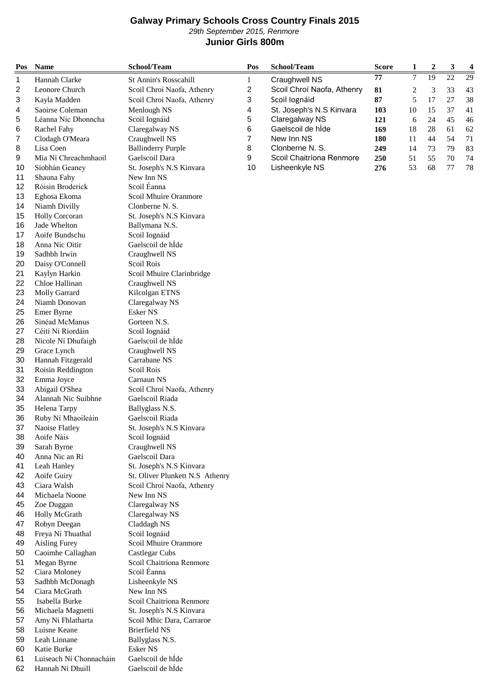## **Galway Primary Schools Cross Country Finals 2015** 29th September 2015, Renmore **Junior Girls 800m**

| 29th September 2015, Renmore<br><b>Junior Girls 800m</b> |                                        |                                            |                |                            |              |                |                  |                 |                |
|----------------------------------------------------------|----------------------------------------|--------------------------------------------|----------------|----------------------------|--------------|----------------|------------------|-----------------|----------------|
| Pos                                                      | <b>Name</b>                            | School/Team                                | Pos            | School/Team                | <b>Score</b> | 1              | $\boldsymbol{2}$ | 3               | $\overline{4}$ |
| 1                                                        | Hannah Clarke                          | St Annin's Rosscahill                      | $\mathbf{1}$   | Craughwell NS              | 77           | $\overline{7}$ | 19               | $\overline{22}$ | 29             |
| $\overline{c}$                                           | Leonore Church                         | Scoil Chroí Naofa, Athenry                 | $\overline{c}$ | Scoil Chroí Naofa, Athenry | 81           | 2              | 3                | 33              | 43             |
| 3                                                        | Kayla Madden                           | Scoil Chroí Naofa, Athenry                 | 3              | Scoil Iognáid              | 87           | 5              | 17               | 27              | 38             |
| 4                                                        | Saoirse Coleman                        | Menlough NS                                | 4              | St. Joseph's N.S Kinvara   | 103          | 10             | 15               | 37              | 41             |
| 5                                                        | Léanna Nic Dhonncha                    | Scoil Iognáid                              | 5              | Claregalway NS             | 121          | 6              | 24               | 45              | 46             |
| 6                                                        | Rachel Fahy                            | Claregalway NS                             | 6              | Gaelscoil de hide          | 169          | 18             | 28               | 61              | 62             |
| 7                                                        | Clodagh O'Meara                        | Craughwell NS                              | 7              | New Inn NS                 | 180          | 11             | 44               | 54              | $71\,$         |
| 8                                                        | Lisa Coen                              | <b>Ballinderry Purple</b>                  | 8              | Clonberne N. S.            | 249          | 14             | 73               | 79              | 83             |
| 9                                                        | Mia Ní Chreachmhaoil                   | Gaelscoil Dara                             | 9              | Scoil Chaitríona Renmore   | 250          | 51             | 55               | 70              | 74             |
| 10                                                       | Siobhán Geaney                         | St. Joseph's N.S Kinvara                   | 10             | Lisheenkyle NS             | 276          | 53             | 68               | 77              | 78             |
| 11                                                       | Shauna Fahy                            | New Inn NS                                 |                |                            |              |                |                  |                 |                |
| 12                                                       | Róisin Broderick                       | Scoil Éanna                                |                |                            |              |                |                  |                 |                |
| 13                                                       | Eghosa Ekoma                           | Scoil Mhuire Oranmore                      |                |                            |              |                |                  |                 |                |
| 14                                                       | Niamh Divilly<br><b>Holly Corcoran</b> | Clonberne N. S.                            |                |                            |              |                |                  |                 |                |
| 15<br>16                                                 | Jade Whelton                           | St. Joseph's N.S Kinvara<br>Ballymana N.S. |                |                            |              |                |                  |                 |                |
| 17                                                       | Aoife Bundschu                         | Scoil Iognáid                              |                |                            |              |                |                  |                 |                |
| 18                                                       | Anna Nic Oitir                         | Gaelscoil de hÍde                          |                |                            |              |                |                  |                 |                |
| 19                                                       | Sadhbh Irwin                           | Craughwell NS                              |                |                            |              |                |                  |                 |                |
| 20                                                       | Daisy O'Connell                        | Scoil Rois                                 |                |                            |              |                |                  |                 |                |
| 21                                                       | Kaylyn Harkin                          | Scoil Mhuire Clarinbridge                  |                |                            |              |                |                  |                 |                |
| 22                                                       | Chloe Hallinan                         | Craughwell NS                              |                |                            |              |                |                  |                 |                |
| 23                                                       | Molly Garrard                          | Kilcolgan ETNS                             |                |                            |              |                |                  |                 |                |
| 24                                                       | Niamh Donovan                          | Claregalway NS                             |                |                            |              |                |                  |                 |                |
| 25                                                       | Emer Byrne                             | <b>Esker NS</b>                            |                |                            |              |                |                  |                 |                |
| 26                                                       | Sinéad McManus                         | Gorteen N.S.                               |                |                            |              |                |                  |                 |                |
| 27                                                       | Céití Ní Ríordáin                      | Scoil Iognáid                              |                |                            |              |                |                  |                 |                |
| 28                                                       | Nicole Ní Dhufaigh                     | Gaelscoil de hÍde                          |                |                            |              |                |                  |                 |                |
| 29                                                       | Grace Lynch                            | Craughwell NS                              |                |                            |              |                |                  |                 |                |
| 30                                                       | Hannah Fitzgerald                      | Carrabane NS                               |                |                            |              |                |                  |                 |                |
| 31                                                       | Roisin Reddington                      | Scoil Rois                                 |                |                            |              |                |                  |                 |                |
| 32                                                       | Emma Joyce                             | Carnaun NS                                 |                |                            |              |                |                  |                 |                |
| 33                                                       | Abigail O'Shea                         | Scoil Chroí Naofa, Athenry                 |                |                            |              |                |                  |                 |                |
| 34                                                       | Alannah Nic Suibhne                    | Gaelscoil Riada                            |                |                            |              |                |                  |                 |                |
| 35                                                       | Helena Tarpy                           | Ballyglass N.S.                            |                |                            |              |                |                  |                 |                |
| 36                                                       | Ruby Ní Mhaoileáin                     | Gaelscoil Riada                            |                |                            |              |                |                  |                 |                |
| 37                                                       | Naoise Flatley<br>Aoife Náis           | St. Joseph's N.S Kinvara                   |                |                            |              |                |                  |                 |                |
| 38                                                       | Sarah Byrne                            | Scoil Iognáid<br>Craughwell NS             |                |                            |              |                |                  |                 |                |
| 39<br>40                                                 | Anna Nic an Rí                         | Gaelscoil Dara                             |                |                            |              |                |                  |                 |                |
| 41                                                       | Leah Hanley                            | St. Joseph's N.S Kinvara                   |                |                            |              |                |                  |                 |                |
| 42                                                       | Aoife Guiry                            | St. Oliver Plunkett N.S Athenry            |                |                            |              |                |                  |                 |                |
| 43                                                       | Ciara Walsh                            | Scoil Chroí Naofa, Athenry                 |                |                            |              |                |                  |                 |                |
| 44                                                       | Michaela Noone                         | New Inn NS                                 |                |                            |              |                |                  |                 |                |
| 45                                                       | Zoe Duggan                             | Claregalway NS                             |                |                            |              |                |                  |                 |                |
| 46                                                       | Holly McGrath                          | Claregalway NS                             |                |                            |              |                |                  |                 |                |
| 47                                                       | Robyn Deegan                           | Claddagh NS                                |                |                            |              |                |                  |                 |                |
| 48                                                       | Freya Ní Thuathal                      | Scoil Iognáid                              |                |                            |              |                |                  |                 |                |
| 49                                                       | <b>Aisling Furey</b>                   | Scoil Mhuire Oranmore                      |                |                            |              |                |                  |                 |                |
| 50                                                       | Caoimhe Callaghan                      | <b>Castlegar Cubs</b>                      |                |                            |              |                |                  |                 |                |
| 51                                                       | Megan Byrne                            | Scoil Chaitríona Renmore                   |                |                            |              |                |                  |                 |                |
| 52                                                       | Ciara Moloney                          | Scoil Éanna                                |                |                            |              |                |                  |                 |                |
| 53                                                       | Sadhbh McDonagh                        | Lisheenkyle NS                             |                |                            |              |                |                  |                 |                |
| 54                                                       | Ciara McGrath                          | New Inn NS                                 |                |                            |              |                |                  |                 |                |
| 55                                                       | Isabella Burke                         | Scoil Chaitríona Renmore                   |                |                            |              |                |                  |                 |                |
| 56                                                       | Michaela Magnetti                      | St. Joseph's N.S Kinvara                   |                |                            |              |                |                  |                 |                |
| 57                                                       | Amy Ni Fhlatharta                      | Scoil Mhic Dara, Carraroe                  |                |                            |              |                |                  |                 |                |
| 58                                                       | Luisne Keane                           | <b>Brierfield NS</b>                       |                |                            |              |                |                  |                 |                |
| 59                                                       | Leah Linnane                           | Ballyglass N.S.                            |                |                            |              |                |                  |                 |                |
| 60<br>61                                                 | Katie Burke<br>Luiseach Ní Chonnacháin | <b>Esker NS</b><br>Gaelscoil de hÍde       |                |                            |              |                |                  |                 |                |
| 62                                                       |                                        | Gaelscoil de hÍde                          |                |                            |              |                |                  |                 |                |
|                                                          | Hannah Ní Dhuill                       |                                            |                |                            |              |                |                  |                 |                |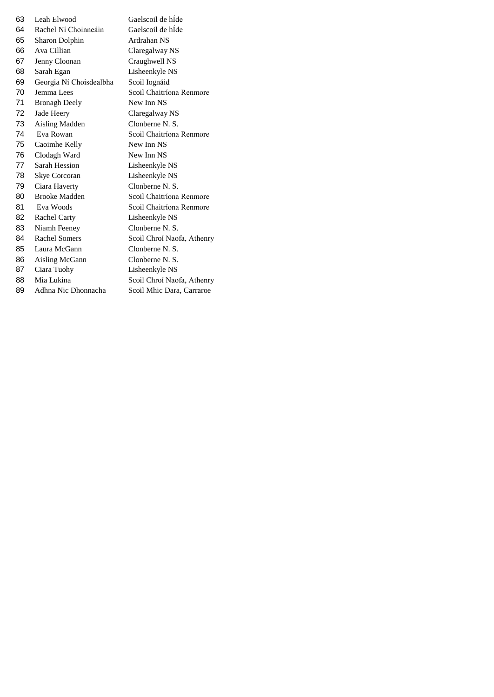| 63 | Leah Elwood             | Gaelscoil de hÍde          |
|----|-------------------------|----------------------------|
| 64 | Rachel Ní Choinneáin    | Gaelscoil de hÍde          |
| 65 | Sharon Dolphin          | Ardrahan NS                |
| 66 | Ava Cillian             | Claregalway NS             |
| 67 | Jenny Cloonan           | Craughwell NS              |
| 68 | Sarah Egan              | Lisheenkyle NS             |
| 69 | Georgia Ní Choisdealbha | Scoil Iognáid              |
| 70 | Jemma Lees              | Scoil Chaitríona Renmore   |
| 71 | <b>Bronagh Deely</b>    | New Inn NS                 |
| 72 | Jade Heery              | Claregalway NS             |
| 73 | Aisling Madden          | Clonberne N. S.            |
| 74 | Eva Rowan               | Scoil Chaitríona Renmore   |
| 75 | Caoimhe Kelly           | New Inn NS                 |
| 76 | Clodagh Ward            | New Inn NS                 |
| 77 | Sarah Hession           | Lisheenkyle NS             |
| 78 | <b>Skye Corcoran</b>    | Lisheenkyle NS             |
| 79 | Ciara Haverty           | Clonberne N. S.            |
| 80 | <b>Brooke Madden</b>    | Scoil Chaitríona Renmore   |
| 81 | Eva Woods               | Scoil Chaitríona Renmore   |
| 82 | <b>Rachel Carty</b>     | Lisheenkyle NS             |
| 83 | Niamh Feeney            | Clonberne N. S.            |
| 84 | <b>Rachel Somers</b>    | Scoil Chroí Naofa, Athenry |
| 85 | Laura McGann            | Clonberne N. S.            |
| 86 | Aisling McGann          | Clonberne N. S.            |
| 87 | Ciara Tuohy             | Lisheenkyle NS             |
| 88 | Mia Lukina              | Scoil Chroí Naofa, Athenry |
| 89 | Adhna Nic Dhonnacha     | Scoil Mhic Dara, Carraroe  |
|    |                         |                            |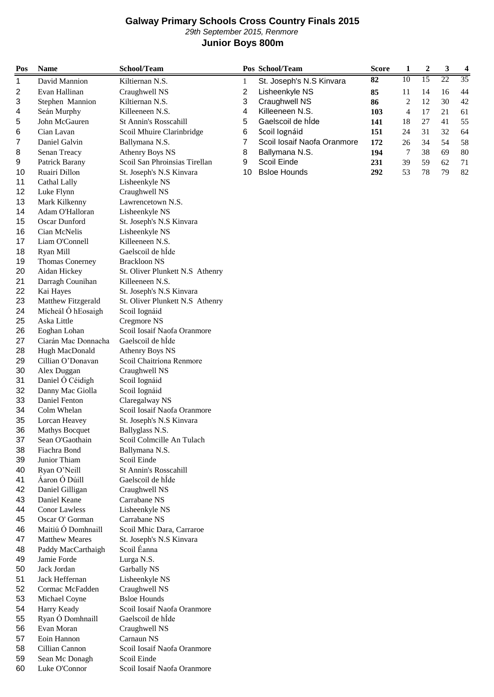## **Galway Primary Schools Cross Country Finals 2015** 29th September 2015, Renmore **Junior Boys 800m**

| Pos      | <b>Name</b>                       | School/Team                                   |                | Pos School/Team             | <b>Score</b> | 1  | 2  | 3  | 4  |
|----------|-----------------------------------|-----------------------------------------------|----------------|-----------------------------|--------------|----|----|----|----|
| 1        | David Mannion                     | Kiltiernan N.S.                               | 1              | St. Joseph's N.S Kinvara    | 82           | 10 | 15 | 22 | 35 |
| 2        | Evan Hallinan                     | Craughwell NS                                 | $\overline{c}$ | Lisheenkyle NS              | 85           | 11 | 14 | 16 | 44 |
| 3        | Stephen Mannion                   | Kiltiernan N.S.                               | 3              | Craughwell NS               | 86           | 2  | 12 | 30 | 42 |
| 4        | Seán Murphy                       | Killeeneen N.S.                               | 4              | Killeeneen N.S.             | 103          | 4  | 17 | 21 | 61 |
| 5        | John McGauren                     | St Annin's Rosscahill                         | 5              | Gaelscoil de hÍde           | 141          | 18 | 27 | 41 | 55 |
| 6        | Cian Lavan                        | Scoil Mhuire Clarinbridge                     | 6              | Scoil lognáid               | 151          | 24 | 31 | 32 | 64 |
| 7        | Daniel Galvin                     | Ballymana N.S.                                | 7              | Scoil Iosaif Naofa Oranmore | 172          | 26 | 34 | 54 | 58 |
| 8        | Senan Treacy                      | <b>Athenry Boys NS</b>                        | 8              | Ballymana N.S.              | 194          | 7  | 38 | 69 | 80 |
| 9        | Patrick Barany                    | Scoil San Phroinsias Tirellan                 | 9              | Scoil Einde                 | 231          | 39 | 59 | 62 | 71 |
| 10       | Ruairí Dillon                     | St. Joseph's N.S Kinvara                      | 10             | <b>Bsloe Hounds</b>         | 292          | 53 | 78 | 79 | 82 |
| 11       | Cathal Lally                      | Lisheenkyle NS                                |                |                             |              |    |    |    |    |
| 12       | Luke Flynn                        | Craughwell NS                                 |                |                             |              |    |    |    |    |
| 13       | Mark Kilkenny                     | Lawrencetown N.S.                             |                |                             |              |    |    |    |    |
| 14       | Adam O'Halloran                   | Lisheenkyle NS                                |                |                             |              |    |    |    |    |
| 15       | Oscar Dunford                     | St. Joseph's N.S Kinvara                      |                |                             |              |    |    |    |    |
| 16       | Cian McNelis                      | Lisheenkyle NS                                |                |                             |              |    |    |    |    |
| 17       | Liam O'Connell                    | Killeeneen N.S.                               |                |                             |              |    |    |    |    |
| 18       | Ryan Mill                         | Gaelscoil de hÍde                             |                |                             |              |    |    |    |    |
| 19       | <b>Thomas Conerney</b>            | <b>Brackloon NS</b>                           |                |                             |              |    |    |    |    |
| 20       | Aidan Hickey                      | St. Oliver Plunkett N.S Athenry               |                |                             |              |    |    |    |    |
| 21       | Darragh Counihan                  | Killeeneen N.S.                               |                |                             |              |    |    |    |    |
| 22       | Kai Hayes                         | St. Joseph's N.S Kinvara                      |                |                             |              |    |    |    |    |
| 23       | Matthew Fitzgerald                | St. Oliver Plunkett N.S Athenry               |                |                             |              |    |    |    |    |
| 24       | Mícheál Ó hEosaigh                | Scoil Iognáid                                 |                |                             |              |    |    |    |    |
| 25       | Aska Little                       | Cregmore NS                                   |                |                             |              |    |    |    |    |
| 26       | Eoghan Lohan                      | Scoil Iosaif Naofa Oranmore                   |                |                             |              |    |    |    |    |
| 27       | Ciarán Mac Donnacha               | Gaelscoil de hÍde                             |                |                             |              |    |    |    |    |
| 28       | Hugh MacDonald                    | <b>Athenry Boys NS</b>                        |                |                             |              |    |    |    |    |
| 29       | Cillian O'Donavan                 | Scoil Chaitríona Renmore                      |                |                             |              |    |    |    |    |
| 30       | Alex Duggan                       | Craughwell NS                                 |                |                             |              |    |    |    |    |
| 31       | Daniel Ó Céidigh                  | Scoil Iognáid                                 |                |                             |              |    |    |    |    |
| 32       | Danny Mac Giolla<br>Daniel Fenton | Scoil Iognáid                                 |                |                             |              |    |    |    |    |
| 33<br>34 | Colm Whelan                       | Claregalway NS<br>Scoil Iosaif Naofa Oranmore |                |                             |              |    |    |    |    |
| 35       | Lorcan Heavey                     | St. Joseph's N.S Kinvara                      |                |                             |              |    |    |    |    |
| 36       | <b>Mathys Bocquet</b>             |                                               |                |                             |              |    |    |    |    |
| 37       | Sean O'Gaothain                   | Ballyglass N.S.<br>Scoil Colmcille An Tulach  |                |                             |              |    |    |    |    |
| 38       | Fiachra Bond                      | Ballymana N.S.                                |                |                             |              |    |    |    |    |
| 39       | Junior Thiam                      | Scoil Einde                                   |                |                             |              |    |    |    |    |
| 40       | Ryan O'Neill                      | <b>St Annin's Rosscahill</b>                  |                |                             |              |    |    |    |    |
| 41       | Áaron Ó Dúill                     | Gaelscoil de hÍde                             |                |                             |              |    |    |    |    |
| 42       | Daniel Gilligan                   | Craughwell NS                                 |                |                             |              |    |    |    |    |
| 43       | Daniel Keane                      | Carrabane NS                                  |                |                             |              |    |    |    |    |
| 44       | <b>Conor Lawless</b>              | Lisheenkyle NS                                |                |                             |              |    |    |    |    |
| 45       | Oscar O' Gorman                   | Carrabane NS                                  |                |                             |              |    |    |    |    |
| 46       | Maitiú Ó Domhnaill                | Scoil Mhic Dara, Carraroe                     |                |                             |              |    |    |    |    |
| 47       | <b>Matthew Meares</b>             | St. Joseph's N.S Kinvara                      |                |                             |              |    |    |    |    |
| 48       | Paddy MacCarthaigh                | Scoil Éanna                                   |                |                             |              |    |    |    |    |
| 49       | Jamie Forde                       | Lurga N.S.                                    |                |                             |              |    |    |    |    |
| 50       | Jack Jordan                       | Garbally NS                                   |                |                             |              |    |    |    |    |
| 51       | Jack Heffernan                    | Lisheenkyle NS                                |                |                             |              |    |    |    |    |
| 52       | Cormac McFadden                   | Craughwell NS                                 |                |                             |              |    |    |    |    |
| 53       | Michael Coyne                     | <b>Bsloe Hounds</b>                           |                |                             |              |    |    |    |    |
| 54       | Harry Keady                       | Scoil Iosaif Naofa Oranmore                   |                |                             |              |    |    |    |    |
| 55       | Ryan Ó Domhnaill                  | Gaelscoil de hÍde                             |                |                             |              |    |    |    |    |
| 56       | Evan Moran                        | Craughwell NS                                 |                |                             |              |    |    |    |    |
| 57       | Eoin Hannon                       | Carnaun NS                                    |                |                             |              |    |    |    |    |
| 58       | Cillian Cannon                    | Scoil Iosaif Naofa Oranmore                   |                |                             |              |    |    |    |    |
| 59       | Sean Mc Donagh                    | Scoil Einde                                   |                |                             |              |    |    |    |    |
| 60       | Luke O'Connor                     | Scoil Iosaif Naofa Oranmore                   |                |                             |              |    |    |    |    |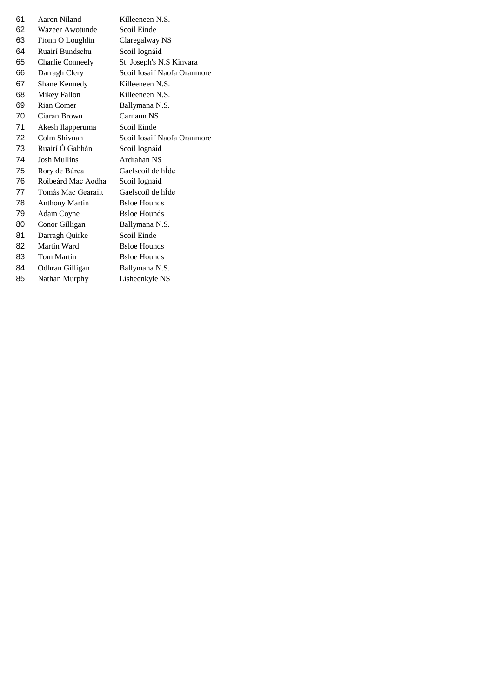| 61 | Aaron Niland            | Killeeneen N.S.             |
|----|-------------------------|-----------------------------|
| 62 | Wazeer Awotunde         | Scoil Einde                 |
| 63 | Fionn O Loughlin        | Claregalway NS              |
| 64 | Ruairí Bundschu         | Scoil Iognáid               |
| 65 | <b>Charlie Conneely</b> | St. Joseph's N.S Kinvara    |
| 66 | Darragh Clery           | Scoil Iosaif Naofa Oranmore |
| 67 | Shane Kennedy           | Killeeneen N.S.             |
| 68 | Mikey Fallon            | Killeeneen N.S.             |
| 69 | Rian Comer              | Ballymana N.S.              |
| 70 | Ciaran Brown            | Carnaun NS                  |
| 71 | Akesh Ilapperuma        | Scoil Einde                 |
| 72 | Colm Shivnan            | Scoil Iosaif Naofa Oranmore |
| 73 | Ruairí Ó Gabhán         | Scoil Iognáid               |
| 74 | <b>Josh Mullins</b>     | Ardrahan NS                 |
| 75 | Rory de Búrca           | Gaelscoil de hÍde           |
| 76 | Roibeárd Mac Aodha      | Scoil Iognáid               |
| 77 | Tomás Mac Gearailt      | Gaelscoil de hÍde           |
| 78 | <b>Anthony Martin</b>   | <b>Bsloe Hounds</b>         |
| 79 | Adam Coyne              | <b>Bsloe Hounds</b>         |
| 80 | Conor Gilligan          | Ballymana N.S.              |
| 81 | Darragh Quirke          | Scoil Einde                 |
| 82 | Martin Ward             | <b>Bsloe Hounds</b>         |
| 83 | Tom Martin              | <b>Bsloe Hounds</b>         |
| 84 | Odhran Gilligan         | Ballymana N.S.              |
| 85 | Nathan Murphy           | Lisheenkyle NS              |
|    |                         |                             |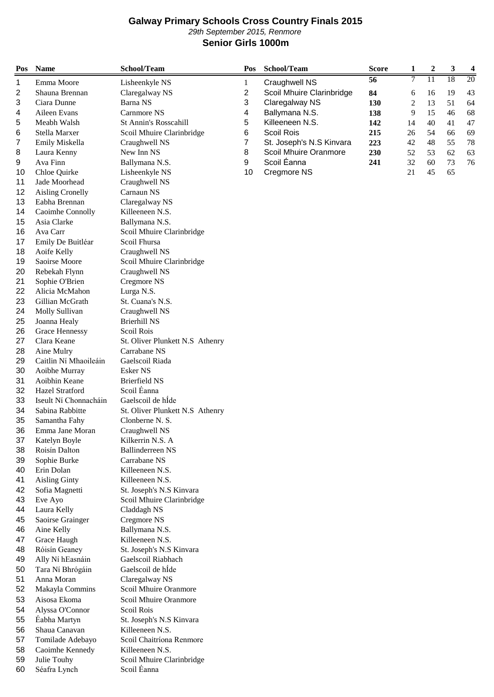## **Galway Primary Schools Cross Country Finals 2015** 29th September 2015, Renmore **Senior Girls 1000m**

| Pos      | <b>Name</b>                    | School/Team                      | Pos          | School/Team               | <b>Score</b>    | 1  | $\boldsymbol{2}$ | 3  | $\overline{\mathbf{4}}$ |
|----------|--------------------------------|----------------------------------|--------------|---------------------------|-----------------|----|------------------|----|-------------------------|
| 1        | Emma Moore                     | Lisheenkyle NS                   | $\mathbf{1}$ | Craughwell NS             | $\overline{56}$ | 7  | 11               | 18 | 20                      |
| 2        | Shauna Brennan                 | Claregalway NS                   | 2            | Scoil Mhuire Clarinbridge | 84              | 6  | 16               | 19 | 43                      |
| 3        | Ciara Dunne                    | Barna NS                         | 3            | Claregalway NS            | 130             | 2  | 13               | 51 | 64                      |
| 4        | Aileen Evans                   | Carnmore NS                      | 4            | Ballymana N.S.            | 138             | 9  | 15               | 46 | 68                      |
| 5        | Meabh Walsh                    | St Annin's Rosscahill            | 5            | Killeeneen N.S.           | 142             | 14 | 40               | 41 | 47                      |
| 6        | Stella Marxer                  | Scoil Mhuire Clarinbridge        | 6            | Scoil Rois                | 215             | 26 | 54               | 66 | 69                      |
| 7        | Emily Miskella                 | Craughwell NS                    | 7            | St. Joseph's N.S Kinvara  | 223             | 42 | 48               | 55 | 78                      |
| 8        | Laura Kenny                    | New Inn NS                       | 8            | Scoil Mhuire Oranmore     | 230             | 52 | 53               | 62 | 63                      |
| 9        | Ava Finn                       | Ballymana N.S.                   | 9            | Scoil Éanna               | 241             | 32 | 60               | 73 | 76                      |
| 10       | Chloe Quirke                   | Lisheenkyle NS                   | 10           | Cregmore NS               |                 | 21 | 45               | 65 |                         |
| 11       | Jade Moorhead                  | Craughwell NS                    |              |                           |                 |    |                  |    |                         |
| 12       | <b>Aisling Cronelly</b>        | Carnaun NS                       |              |                           |                 |    |                  |    |                         |
| 13       | Eabha Brennan                  | Claregalway NS                   |              |                           |                 |    |                  |    |                         |
| 14       | Caoimhe Connolly               | Killeeneen N.S.                  |              |                           |                 |    |                  |    |                         |
| 15       | Asia Clarke                    | Ballymana N.S.                   |              |                           |                 |    |                  |    |                         |
| 16       | Ava Carr                       | Scoil Mhuire Clarinbridge        |              |                           |                 |    |                  |    |                         |
| 17       | Emily De Buitléar              | Scoil Fhursa                     |              |                           |                 |    |                  |    |                         |
| 18       | Aoife Kelly                    | Craughwell NS                    |              |                           |                 |    |                  |    |                         |
| 19       | Saoirse Moore                  | Scoil Mhuire Clarinbridge        |              |                           |                 |    |                  |    |                         |
| 20       | Rebekah Flynn                  | Craughwell NS                    |              |                           |                 |    |                  |    |                         |
| 21       | Sophie O'Brien                 | Cregmore NS                      |              |                           |                 |    |                  |    |                         |
| 22       | Alicia McMahon                 | Lurga N.S.                       |              |                           |                 |    |                  |    |                         |
| 23       | Gillian McGrath                | St. Cuana's N.S.                 |              |                           |                 |    |                  |    |                         |
| 24       | Molly Sullivan                 | Craughwell NS                    |              |                           |                 |    |                  |    |                         |
| 25       | Joanna Healy                   | <b>Brierhill NS</b>              |              |                           |                 |    |                  |    |                         |
| 26       | <b>Grace Hennessy</b>          | Scoil Rois                       |              |                           |                 |    |                  |    |                         |
| 27       | Clara Keane                    | St. Oliver Plunkett N.S Athenry  |              |                           |                 |    |                  |    |                         |
| 28       | Aine Mulry                     | Carrabane NS                     |              |                           |                 |    |                  |    |                         |
| 29       | Caitlin Ní Mhaoileáin          | Gaelscoil Riada                  |              |                           |                 |    |                  |    |                         |
| 30<br>31 | Aoibhe Murray<br>Aoibhin Keane | Esker NS<br><b>Brierfield NS</b> |              |                           |                 |    |                  |    |                         |
| 32       | Hazel Stratford                | Scoil Éanna                      |              |                           |                 |    |                  |    |                         |
| 33       | Iseult Ní Chonnacháin          | Gaelscoil de hÍde                |              |                           |                 |    |                  |    |                         |
| 34       | Sabina Rabbitte                | St. Oliver Plunkett N.S Athenry  |              |                           |                 |    |                  |    |                         |
| 35       | Samantha Fahy                  | Clonberne N. S.                  |              |                           |                 |    |                  |    |                         |
| 36       | Emma Jane Moran                | Craughwell NS                    |              |                           |                 |    |                  |    |                         |
| 37       | Katelyn Boyle                  | Kilkerrin N.S. A                 |              |                           |                 |    |                  |    |                         |
| 38       | Roisín Dalton                  | <b>Ballinderreen NS</b>          |              |                           |                 |    |                  |    |                         |
| 39       | Sophie Burke                   | Carrabane NS                     |              |                           |                 |    |                  |    |                         |
| 40       | Erin Dolan                     | Killeeneen N.S.                  |              |                           |                 |    |                  |    |                         |
| 41       | <b>Aisling Ginty</b>           | Killeeneen N.S.                  |              |                           |                 |    |                  |    |                         |
| 42       | Sofia Magnetti                 | St. Joseph's N.S Kinvara         |              |                           |                 |    |                  |    |                         |
| 43       | Eve Ayo                        | Scoil Mhuire Clarinbridge        |              |                           |                 |    |                  |    |                         |
| 44       | Laura Kelly                    | Claddagh NS                      |              |                           |                 |    |                  |    |                         |
| 45       | Saoirse Grainger               | Cregmore NS                      |              |                           |                 |    |                  |    |                         |
| 46       | Aine Kelly                     | Ballymana N.S.                   |              |                           |                 |    |                  |    |                         |
| 47       | Grace Haugh                    | Killeeneen N.S.                  |              |                           |                 |    |                  |    |                         |
| 48       | Róisín Geaney                  | St. Joseph's N.S Kinvara         |              |                           |                 |    |                  |    |                         |
| 49       | Ally Ní hEasnáin               | Gaelscoil Riabhach               |              |                           |                 |    |                  |    |                         |
| 50       | Tara Ní Bhrógáin               | Gaelscoil de hÍde                |              |                           |                 |    |                  |    |                         |
| 51       | Anna Moran                     | Claregalway NS                   |              |                           |                 |    |                  |    |                         |
| 52       | Makayla Commins                | Scoil Mhuire Oranmore            |              |                           |                 |    |                  |    |                         |
| 53       | Aisosa Ekoma                   | Scoil Mhuire Oranmore            |              |                           |                 |    |                  |    |                         |
| 54       | Alyssa O'Connor                | Scoil Rois                       |              |                           |                 |    |                  |    |                         |
| 55       | Éabha Martyn                   | St. Joseph's N.S Kinvara         |              |                           |                 |    |                  |    |                         |
| 56       | Shaua Canavan                  | Killeeneen N.S.                  |              |                           |                 |    |                  |    |                         |
| 57       | Tomilade Adebayo               | Scoil Chaitríona Renmore         |              |                           |                 |    |                  |    |                         |
| 58       | Caoimhe Kennedy                | Killeeneen N.S.                  |              |                           |                 |    |                  |    |                         |
| 59       | Julie Touhy                    | Scoil Mhuire Clarinbridge        |              |                           |                 |    |                  |    |                         |
| 60       | Séafra Lynch                   | Scoil Éanna                      |              |                           |                 |    |                  |    |                         |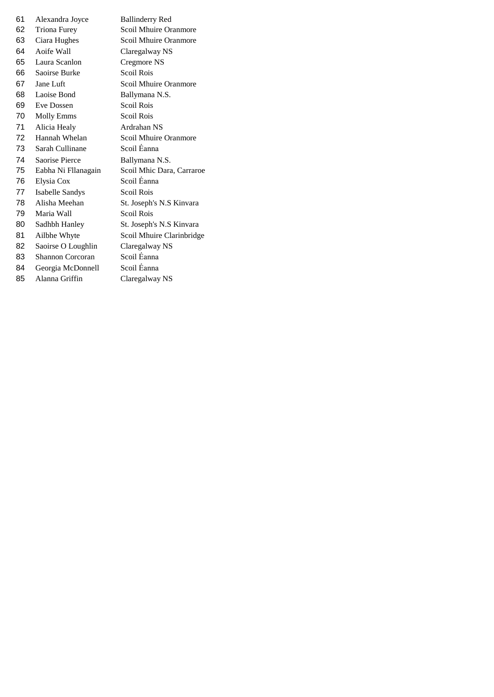| 61   | Alexandra Joyce     | <b>Ballinderry Red</b>    |
|------|---------------------|---------------------------|
| 62 - | Triona Furey        | Scoil Mhuire Oranmore     |
| 63   | Ciara Hughes        | Scoil Mhuire Oranmore     |
| 64   | Aoife Wall          | Claregalway NS            |
| 65   | Laura Scanlon       | Cregmore NS               |
| 66   | Saoirse Burke       | Scoil Rois                |
| 67   | Jane Luft           | Scoil Mhuire Oranmore     |
| 68   | Laoise Bond         | Ballymana N.S.            |
| 69   | Eve Dossen          | Scoil Rois                |
| 70   | <b>Molly Emms</b>   | Scoil Rois                |
| 71   | Alicia Healy        | Ardrahan NS               |
| 72   | Hannah Whelan       | Scoil Mhuire Oranmore     |
| 73.  | Sarah Cullinane     | Scoil Éanna               |
| 74   | Saorise Pierce      | Ballymana N.S.            |
| 75   | Eabha Ni Fllanagain | Scoil Mhic Dara, Carraroe |
| 76   | Elysia Cox          | Scoil Eanna               |
| 77   | Isabelle Sandys     | Scoil Rois                |
| 78   | Alisha Meehan       | St. Joseph's N.S Kinvara  |
| 79   | Maria Wall          | Scoil Rois                |
| 80   | Sadhbh Hanley       | St. Joseph's N.S Kinvara  |
| 81   | Ailbhe Whyte        | Scoil Mhuire Clarinbridge |
| 82   | Saoirse O Loughlin  | Claregalway NS            |
| 83   | Shannon Corcoran    | Scoil Éanna               |
| 84   | Georgia McDonnell   | Scoil Éanna               |
| 85   | Alanna Griffin      | Claregalway NS            |
|      |                     |                           |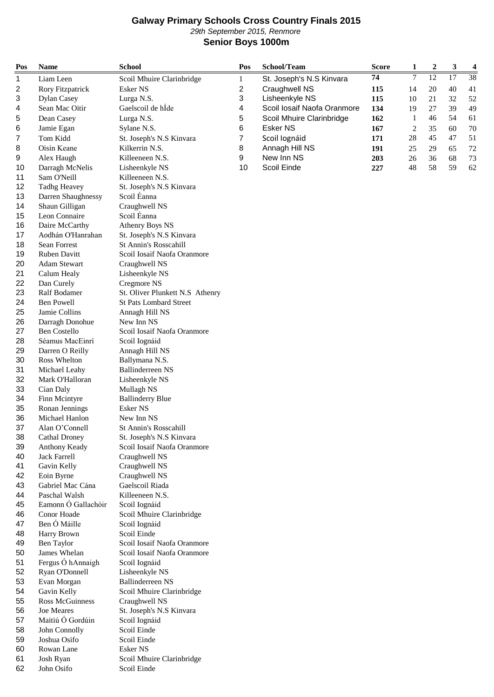## **Galway Primary Schools Cross Country Finals 2015** 29th September 2015, Renmore **Senior Boys 1000m**

| Pos | <b>Name</b>          | <b>School</b>                   | Pos                     | School/Team                 | <b>Score</b> | 1              | $\boldsymbol{2}$ | 3               | $\overline{\mathbf{4}}$ |
|-----|----------------------|---------------------------------|-------------------------|-----------------------------|--------------|----------------|------------------|-----------------|-------------------------|
| 1   | Liam Leen            | Scoil Mhuire Clarinbridge       | $\mathbf{1}$            | St. Joseph's N.S Kinvara    | 74           | $\overline{7}$ | $\overline{12}$  | $\overline{17}$ | $\overline{38}$         |
| 2   | Rory Fitzpatrick     | <b>Esker NS</b>                 | $\overline{\mathbf{c}}$ | Craughwell NS               | 115          | 14             | 20               | 40              | 41                      |
| 3   | <b>Dylan Casey</b>   | Lurga N.S.                      | 3                       | Lisheenkyle NS              | 115          | 10             | 21               | 32              | 52                      |
| 4   | Sean Mac Oitir       | Gaelscoil de hÍde               | 4                       | Scoil Iosaif Naofa Oranmore | 134          | 19             | 27               | 39              | 49                      |
| 5   | Dean Casey           | Lurga N.S.                      | 5                       | Scoil Mhuire Clarinbridge   | 162          | 1              | 46               | 54              | 61                      |
| 6   | Jamie Egan           | Sylane N.S.                     | 6                       | <b>Esker NS</b>             | 167          | $\sqrt{2}$     | 35               | 60              | 70                      |
| 7   | Tom Kidd             | St. Joseph's N.S Kinvara        | 7                       | Scoil Iognáid               | 171          | 28             | 45               | 47              | 51                      |
| 8   | Oisín Keane          | Kilkerrin N.S.                  | 8                       | Annagh Hill NS              | 191          | 25             | 29               | 65              | 72                      |
| 9   | Alex Haugh           | Killeeneen N.S.                 | 9                       | New Inn NS                  | 203          | 26             | 36               | 68              | 73                      |
| 10  | Darragh McNelis      | Lisheenkyle NS                  | 10                      | Scoil Einde                 | 227          | 48             | 58               | 59              | 62                      |
| 11  | Sam O'Neill          | Killeeneen N.S.                 |                         |                             |              |                |                  |                 |                         |
| 12  | <b>Tadhg Heavey</b>  | St. Joseph's N.S Kinvara        |                         |                             |              |                |                  |                 |                         |
| 13  | Darren Shaughnessy   | Scoil Éanna                     |                         |                             |              |                |                  |                 |                         |
| 14  | Shaun Gilligan       | Craughwell NS                   |                         |                             |              |                |                  |                 |                         |
| 15  | Leon Connaire        | Scoil Éanna                     |                         |                             |              |                |                  |                 |                         |
| 16  | Daire McCarthy       | <b>Athenry Boys NS</b>          |                         |                             |              |                |                  |                 |                         |
| 17  | Aodhán O'Hanrahan    | St. Joseph's N.S Kinvara        |                         |                             |              |                |                  |                 |                         |
| 18  | Sean Forrest         | St Annin's Rosscahill           |                         |                             |              |                |                  |                 |                         |
| 19  | Ruben Davitt         | Scoil Iosaif Naofa Oranmore     |                         |                             |              |                |                  |                 |                         |
| 20  | <b>Adam Stewart</b>  | Craughwell NS                   |                         |                             |              |                |                  |                 |                         |
| 21  | Calum Healy          | Lisheenkyle NS                  |                         |                             |              |                |                  |                 |                         |
| 22  | Dan Curely           | Cregmore NS                     |                         |                             |              |                |                  |                 |                         |
| 23  | Ralf Bodamer         | St. Oliver Plunkett N.S Athenry |                         |                             |              |                |                  |                 |                         |
| 24  | <b>Ben Powell</b>    | <b>St Pats Lombard Street</b>   |                         |                             |              |                |                  |                 |                         |
| 25  | Jamie Collins        | Annagh Hill NS                  |                         |                             |              |                |                  |                 |                         |
| 26  | Darragh Donohue      | New Inn NS                      |                         |                             |              |                |                  |                 |                         |
| 27  | <b>Ben Costello</b>  | Scoil Iosaif Naofa Oranmore     |                         |                             |              |                |                  |                 |                         |
| 28  | Séamus MacEinrí      | Scoil Iognáid                   |                         |                             |              |                |                  |                 |                         |
| 29  | Darren O Reilly      | Annagh Hill NS                  |                         |                             |              |                |                  |                 |                         |
| 30  | Ross Whelton         | Ballymana N.S.                  |                         |                             |              |                |                  |                 |                         |
| 31  | Michael Leahy        | <b>Ballinderreen NS</b>         |                         |                             |              |                |                  |                 |                         |
| 32  | Mark O'Halloran      | Lisheenkyle NS                  |                         |                             |              |                |                  |                 |                         |
| 33  | Cian Daly            | Mullagh NS                      |                         |                             |              |                |                  |                 |                         |
| 34  | Finn Mcintyre        | <b>Ballinderry Blue</b>         |                         |                             |              |                |                  |                 |                         |
| 35  | Ronan Jennings       | Esker NS                        |                         |                             |              |                |                  |                 |                         |
| 36  | Michael Hanlon       | New Inn NS                      |                         |                             |              |                |                  |                 |                         |
| 37  | Alan O'Connell       | St Annin's Rosscahill           |                         |                             |              |                |                  |                 |                         |
| 38  | <b>Cathal Droney</b> | St. Joseph's N.S Kinvara        |                         |                             |              |                |                  |                 |                         |
| 39  | Anthony Keady        | Scoil Iosaif Naofa Oranmore     |                         |                             |              |                |                  |                 |                         |
| 40  | <b>Jack Farrell</b>  | Craughwell NS                   |                         |                             |              |                |                  |                 |                         |
| 41  | Gavin Kelly          | Craughwell NS                   |                         |                             |              |                |                  |                 |                         |
| 42  | Eoin Byrne           | Craughwell NS                   |                         |                             |              |                |                  |                 |                         |
| 43  | Gabriel Mac Cána     | Gaelscoil Riada                 |                         |                             |              |                |                  |                 |                         |
| 44  | Paschal Walsh        | Killeeneen N.S.                 |                         |                             |              |                |                  |                 |                         |
| 45  | Eamonn Ó Gallachóir  | Scoil Iognáid                   |                         |                             |              |                |                  |                 |                         |
| 46  | Conor Hoade          | Scoil Mhuire Clarinbridge       |                         |                             |              |                |                  |                 |                         |
| 47  | Ben Ó Máille         | Scoil Iognáid                   |                         |                             |              |                |                  |                 |                         |
| 48  | Harry Brown          | Scoil Einde                     |                         |                             |              |                |                  |                 |                         |
| 49  | Ben Taylor           | Scoil Iosaif Naofa Oranmore     |                         |                             |              |                |                  |                 |                         |
| 50  | James Whelan         | Scoil Iosaif Naofa Oranmore     |                         |                             |              |                |                  |                 |                         |
| 51  | Fergus Ó hAnnaigh    | Scoil Iognáid                   |                         |                             |              |                |                  |                 |                         |
| 52  | Ryan O'Donnell       | Lisheenkyle NS                  |                         |                             |              |                |                  |                 |                         |
| 53  | Evan Morgan          | <b>Ballinderreen NS</b>         |                         |                             |              |                |                  |                 |                         |
| 54  | Gavin Kelly          | Scoil Mhuire Clarinbridge       |                         |                             |              |                |                  |                 |                         |
| 55  | Ross McGuinness      | Craughwell NS                   |                         |                             |              |                |                  |                 |                         |
| 56  | Joe Meares           | St. Joseph's N.S Kinvara        |                         |                             |              |                |                  |                 |                         |
| 57  | Maitiú Ó Gordúin     | Scoil Iognáid                   |                         |                             |              |                |                  |                 |                         |
| 58  | John Connolly        | Scoil Einde                     |                         |                             |              |                |                  |                 |                         |
| 59  | Joshua Osifo         | Scoil Einde                     |                         |                             |              |                |                  |                 |                         |
| 60  | Rowan Lane           | Esker NS                        |                         |                             |              |                |                  |                 |                         |
| 61  | Josh Ryan            | Scoil Mhuire Clarinbridge       |                         |                             |              |                |                  |                 |                         |
| 62  | John Osifo           | Scoil Einde                     |                         |                             |              |                |                  |                 |                         |